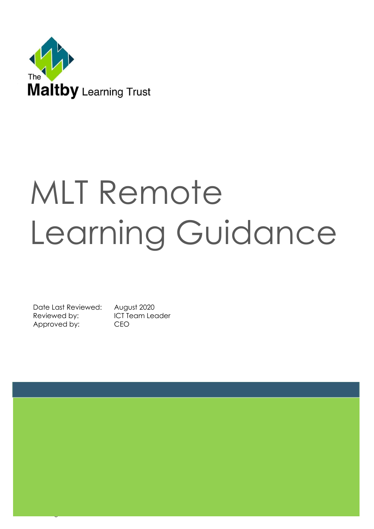

# MLT Remote Learning Guidance

Date Last Reviewed: August 2020 Reviewed by: ICT Team Leader Approved by: CEO

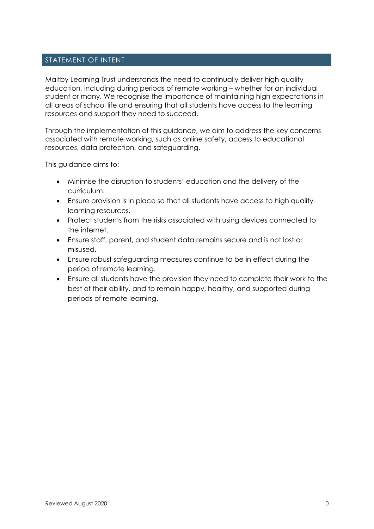# STATEMENT OF INTENT

Maltby Learning Trust understands the need to continually deliver high quality education, including during periods of remote working – whether for an individual student or many. We recognise the importance of maintaining high expectations in all areas of school life and ensuring that all students have access to the learning resources and support they need to succeed.

Through the implementation of this guidance, we aim to address the key concerns associated with remote working, such as online safety, access to educational resources, data protection, and safeguarding.

This guidance aims to:

- Minimise the disruption to students' education and the delivery of the curriculum.
- Ensure provision is in place so that all students have access to high quality learning resources.
- Protect students from the risks associated with using devices connected to the internet.
- Ensure staff, parent, and student data remains secure and is not lost or misused.
- Ensure robust safeguarding measures continue to be in effect during the period of remote learning.
- Ensure all students have the provision they need to complete their work to the best of their ability, and to remain happy, healthy, and supported during periods of remote learning.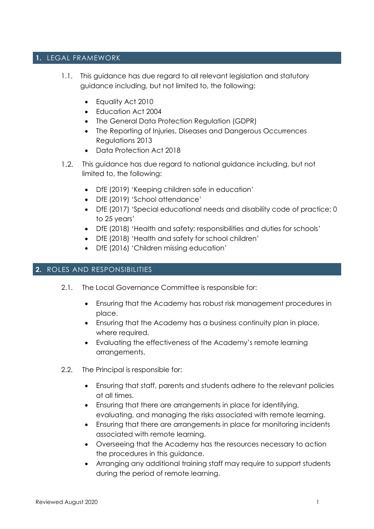#### **1.** LEGAL FRAMEWORK

- 1.1. This guidance has due regard to all relevant legislation and statutory guidance including, but not limited to, the following:
	- Equality Act 2010
	- Education Act 2004
	- The General Data Protection Regulation (GDPR)
	- The Reporting of Injuries, Diseases and Dangerous Occurrences Regulations 2013
	- Data Protection Act 2018
- This guidance has due regard to national guidance including, but not  $1.2.$ limited to, the following:
	- DfE (2019) 'Keeping children safe in education'
	- DfE (2019) 'School attendance'
	- DfE (2017) 'Special educational needs and disability code of practice: 0 to 25 years'
	- DfE (2018) 'Health and safety: responsibilities and duties for schools'
	- DfE (2018) 'Health and safety for school children'
	- DfE (2016) 'Children missing education'

# **2.** ROLES AND RESPONSIBILITIES

- 2.1. The Local Governance Committee is responsible for:
	- Ensuring that the Academy has robust risk management procedures in place.
	- Ensuring that the Academy has a business continuity plan in place, where required.
	- Evaluating the effectiveness of the Academy's remote learning arrangements.
- 2.2. The Principal is responsible for:
	- Ensuring that staff, parents and students adhere to the relevant policies at all times.
	- Ensuring that there are arrangements in place for identifying, evaluating, and managing the risks associated with remote learning.
	- Ensuring that there are arrangements in place for monitoring incidents associated with remote learning.
	- Overseeing that the Academy has the resources necessary to action the procedures in this guidance.
	- Arranging any additional training staff may require to support students during the period of remote learning.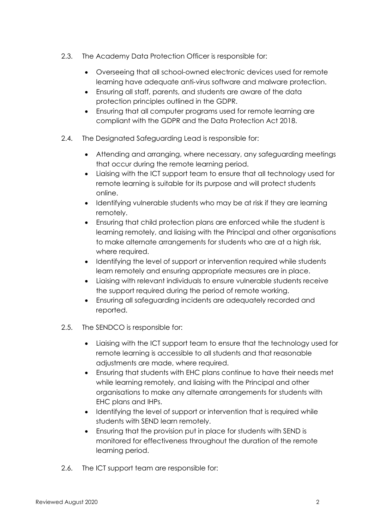- 2.3. The Academy Data Protection Officer is responsible for:
	- Overseeing that all school-owned electronic devices used for remote learning have adequate anti-virus software and malware protection.
	- Ensuring all staff, parents, and students are aware of the data protection principles outlined in the GDPR.
	- Ensuring that all computer programs used for remote learning are compliant with the GDPR and the Data Protection Act 2018.
- 2.4. The Designated Safeguarding Lead is responsible for:
	- Attending and arranging, where necessary, any safeguarding meetings that occur during the remote learning period.
	- Liaising with the ICT support team to ensure that all technology used for remote learning is suitable for its purpose and will protect students online.
	- Identifying vulnerable students who may be at risk if they are learning remotely.
	- Ensuring that child protection plans are enforced while the student is learning remotely, and liaising with the Principal and other organisations to make alternate arrangements for students who are at a high risk, where required.
	- Identifying the level of support or intervention required while students learn remotely and ensuring appropriate measures are in place.
	- Liaising with relevant individuals to ensure vulnerable students receive the support required during the period of remote working.
	- Ensuring all safeguarding incidents are adequately recorded and reported.
- 2.5. The SENDCO is responsible for:
	- Liaising with the ICT support team to ensure that the technology used for remote learning is accessible to all students and that reasonable adjustments are made, where required.
	- Ensuring that students with EHC plans continue to have their needs met while learning remotely, and liaising with the Principal and other organisations to make any alternate arrangements for students with EHC plans and IHPs.
	- Identifying the level of support or intervention that is required while students with SEND learn remotely.
	- Ensuring that the provision put in place for students with SEND is monitored for effectiveness throughout the duration of the remote learning period.
- 2.6. The ICT support team are responsible for: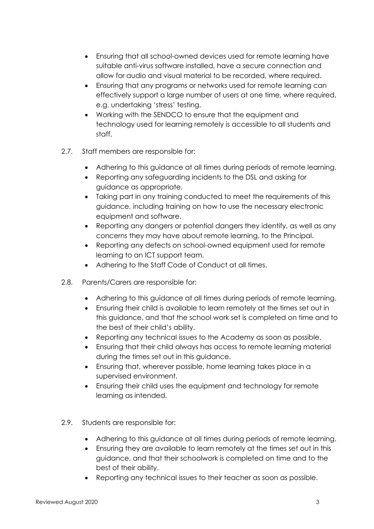- Ensuring that all school-owned devices used for remote learning have suitable anti-virus software installed, have a secure connection and allow for audio and visual material to be recorded, where required.
- Ensuring that any programs or networks used for remote learning can effectively support a large number of users at one time, where required, e.g. undertaking 'stress' testing.
- Working with the SENDCO to ensure that the equipment and technology used for learning remotely is accessible to all students and staff.
- 2.7. Staff members are responsible for:
	- Adhering to this guidance at all times during periods of remote learning.
	- Reporting any safeguarding incidents to the DSL and asking for guidance as appropriate.
	- Taking part in any training conducted to meet the requirements of this guidance, including training on how to use the necessary electronic equipment and software.
	- Reporting any dangers or potential dangers they identify, as well as any concerns they may have about remote learning, to the Principal.
	- Reporting any defects on school-owned equipment used for remote learning to an ICT support team.
	- Adhering to the Staff Code of Conduct at all times.
- 2.8. Parents/Carers are responsible for:
	- Adhering to this guidance at all times during periods of remote learning.
	- Ensuring their child is available to learn remotely at the times set out in this guidance, and that the school work set is completed on time and to the best of their child's ability.
	- Reporting any technical issues to the Academy as soon as possible.
	- Ensuring that their child always has access to remote learning material during the times set out in this guidance.
	- Ensuring that, wherever possible, home learning takes place in a supervised environment.
	- Ensuring their child uses the equipment and technology for remote learning as intended.
- 2.9. Students are responsible for:
	- Adhering to this guidance at all times during periods of remote learning.
	- Ensuring they are available to learn remotely at the times set out in this guidance, and that their schoolwork is completed on time and to the best of their ability.
	- Reporting any technical issues to their teacher as soon as possible.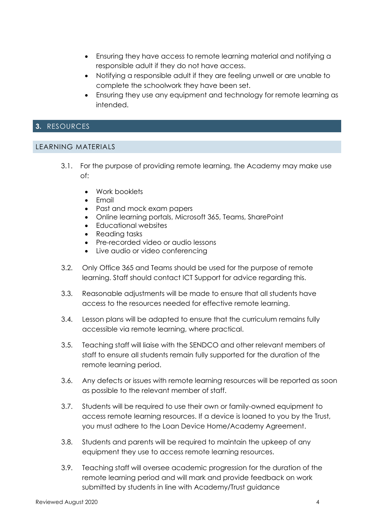- Ensuring they have access to remote learning material and notifying a responsible adult if they do not have access.
- Notifying a responsible adult if they are feeling unwell or are unable to complete the schoolwork they have been set.
- Ensuring they use any equipment and technology for remote learning as intended.

## **3.** RESOURCES

#### LEARNING MATERIALS

- 3.1. For the purpose of providing remote learning, the Academy may make use of:
	- Work booklets
	- Email
	- Past and mock exam papers
	- Online learning portals, Microsoft 365, Teams, SharePoint
	- Educational websites
	- Reading tasks
	- Pre-recorded video or audio lessons
	- Live audio or video conferencing
- 3.2. Only Office 365 and Teams should be used for the purpose of remote learning. Staff should contact ICT Support for advice regarding this.
- 3.3. Reasonable adjustments will be made to ensure that all students have access to the resources needed for effective remote learning.
- 3.4. Lesson plans will be adapted to ensure that the curriculum remains fully accessible via remote learning, where practical.
- 3.5. Teaching staff will liaise with the SENDCO and other relevant members of staff to ensure all students remain fully supported for the duration of the remote learning period.
- 3.6. Any defects or issues with remote learning resources will be reported as soon as possible to the relevant member of staff.
- 3.7. Students will be required to use their own or family-owned equipment to access remote learning resources. If a device is loaned to you by the Trust, you must adhere to the Loan Device Home/Academy Agreement.
- 3.8. Students and parents will be required to maintain the upkeep of any equipment they use to access remote learning resources.
- 3.9. Teaching staff will oversee academic progression for the duration of the remote learning period and will mark and provide feedback on work submitted by students in line with Academy/Trust guidance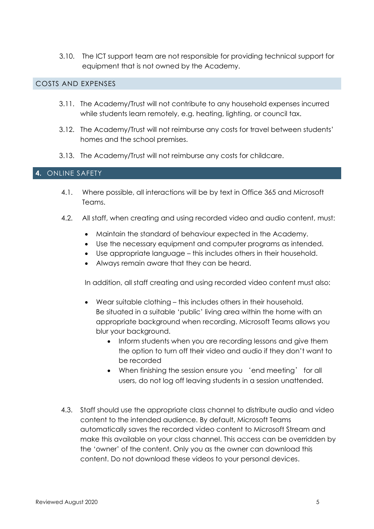3.10. The ICT support team are not responsible for providing technical support for equipment that is not owned by the Academy.

## COSTS AND EXPENSES

- 3.11. The Academy/Trust will not contribute to any household expenses incurred while students learn remotely, e.g. heating, lighting, or council tax.
- 3.12. The Academy/Trust will not reimburse any costs for travel between students' homes and the school premises.
- 3.13. The Academy/Trust will not reimburse any costs for childcare.

#### **4.** ONLINE SAFETY

- 4.1. Where possible, all interactions will be by text in Office 365 and Microsoft Teams.
- 4.2. All staff, when creating and using recorded video and audio content, must:
	- Maintain the standard of behaviour expected in the Academy.
	- Use the necessary equipment and computer programs as intended.
	- Use appropriate language this includes others in their household.
	- Always remain aware that they can be heard.

In addition, all staff creating and using recorded video content must also:

- Wear suitable clothing this includes others in their household. Be situated in a suitable 'public' living area within the home with an appropriate background when recording. Microsoft Teams allows you blur your background.
	- Inform students when you are recording lessons and give them the option to turn off their video and audio if they don't want to be recorded
	- When finishing the session ensure you 'end meeting' for all users, do not log off leaving students in a session unattended.
- 4.3. Staff should use the appropriate class channel to distribute audio and video content to the intended audience. By default, Microsoft Teams automatically saves the recorded video content to Microsoft Stream and make this available on your class channel. This access can be overridden by the 'owner' of the content. Only you as the owner can download this content. Do not download these videos to your personal devices.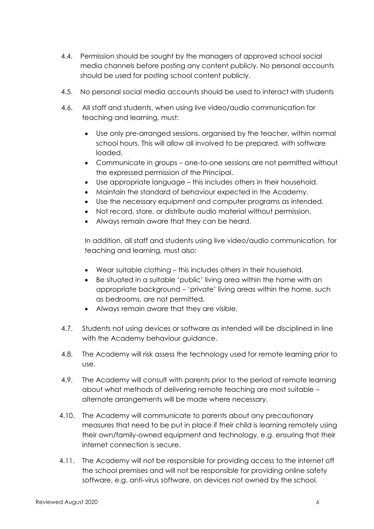- 4.4. Permission should be sought by the managers of approved school social media channels before posting any content publicly. No personal accounts should be used for posting school content publicly.
- 4.5. No personal social media accounts should be used to interact with students
- 4.6. All staff and students, when using live video/audio communication for teaching and learning, must:
	- Use only pre-arranged sessions, organised by the teacher, within normal school hours. This will allow all involved to be prepared, with software loaded.
	- Communicate in groups one-to-one sessions are not permitted without the expressed permission of the Principal.
	- Use appropriate language this includes others in their household.
	- Maintain the standard of behaviour expected in the Academy.
	- Use the necessary equipment and computer programs as intended.
	- Not record, store, or distribute audio material without permission.
	- Always remain aware that they can be heard.

In addition, all staff and students using live video/audio communication, for teaching and learning, must also:

- Wear suitable clothing this includes others in their household.
- Be situated in a suitable 'public' living area within the home with an appropriate background – 'private' living areas within the home, such as bedrooms, are not permitted.
- Always remain aware that they are visible.
- 4.7. Students not using devices or software as intended will be disciplined in line with the Academy behaviour guidance.
- 4.8. The Academy will risk assess the technology used for remote learning prior to use.
- 4.9. The Academy will consult with parents prior to the period of remote learning about what methods of delivering remote teaching are most suitable – alternate arrangements will be made where necessary.
- 4.10. The Academy will communicate to parents about any precautionary measures that need to be put in place if their child is learning remotely using their own/family-owned equipment and technology, e.g. ensuring that their internet connection is secure.
- 4.11. The Academy will not be responsible for providing access to the internet off the school premises and will not be responsible for providing online safety software, e.g. anti-virus software, on devices not owned by the school.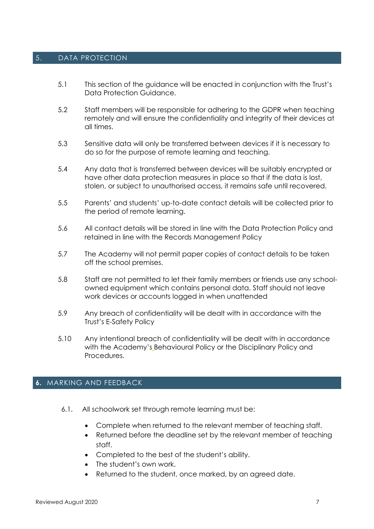#### 5. DATA PROTECTION

- 5.1 This section of the guidance will be enacted in conjunction with the Trust's Data Protection Guidance.
- 5.2 Staff members will be responsible for adhering to the GDPR when teaching remotely and will ensure the confidentiality and integrity of their devices at all times.
- 5.3 Sensitive data will only be transferred between devices if it is necessary to do so for the purpose of remote learning and teaching.
- 5.4 Any data that is transferred between devices will be suitably encrypted or have other data protection measures in place so that if the data is lost, stolen, or subject to unauthorised access, it remains safe until recovered.
- 5.5 Parents' and students' up-to-date contact details will be collected prior to the period of remote learning.
- 5.6 All contact details will be stored in line with the Data Protection Policy and retained in line with the Records Management Policy
- 5.7 The Academy will not permit paper copies of contact details to be taken off the school premises.
- 5.8 Staff are not permitted to let their family members or friends use any schoolowned equipment which contains personal data. Staff should not leave work devices or accounts logged in when unattended
- 5.9 Any breach of confidentiality will be dealt with in accordance with the Trust's E-Safety Policy
- 5.10 Any intentional breach of confidentiality will be dealt with in accordance with the Academy's Behavioural Policy or the Disciplinary Policy and Procedures.

#### **6.** MARKING AND FEEDBACK

- 6.1. All schoolwork set through remote learning must be:
	- Complete when returned to the relevant member of teaching staff.
	- Returned before the deadline set by the relevant member of teaching staff.
	- Completed to the best of the student's ability.
	- The student's own work.
	- Returned to the student, once marked, by an agreed date.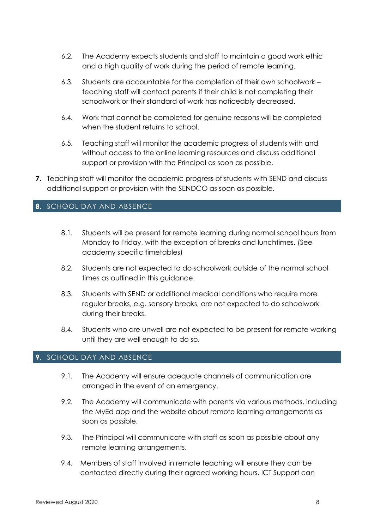- 6.2. The Academy expects students and staff to maintain a good work ethic and a high quality of work during the period of remote learning.
- 6.3. Students are accountable for the completion of their own schoolwork teaching staff will contact parents if their child is not completing their schoolwork or their standard of work has noticeably decreased.
- 6.4. Work that cannot be completed for genuine reasons will be completed when the student returns to school.
- 6.5. Teaching staff will monitor the academic progress of students with and without access to the online learning resources and discuss additional support or provision with the Principal as soon as possible.
- **7.** Teaching staff will monitor the academic progress of students with SEND and discuss additional support or provision with the SENDCO as soon as possible.

# **8.** SCHOOL DAY AND ABSENCE

- 8.1. Students will be present for remote learning during normal school hours from Monday to Friday, with the exception of breaks and lunchtimes. (See academy specific timetables)
- 8.2. Students are not expected to do schoolwork outside of the normal school times as outlined in this guidance.
- 8.3. Students with SEND or additional medical conditions who require more regular breaks, e.g. sensory breaks, are not expected to do schoolwork during their breaks.
- 8.4. Students who are unwell are not expected to be present for remote working until they are well enough to do so.

#### **9.** SCHOOL DAY AND ABSENCE

- 9.1. The Academy will ensure adequate channels of communication are arranged in the event of an emergency.
- 9.2. The Academy will communicate with parents via various methods, including the MyEd app and the website about remote learning arrangements as soon as possible.
- 9.3. The Principal will communicate with staff as soon as possible about any remote learning arrangements.
- 9.4. Members of staff involved in remote teaching will ensure they can be contacted directly during their agreed working hours. ICT Support can